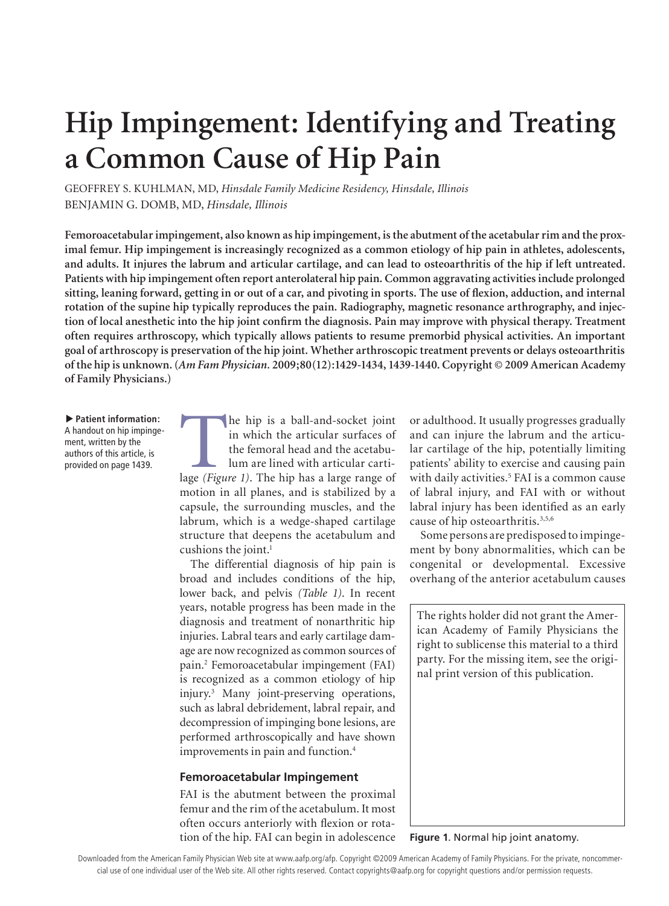# **Hip Impingement: Identifying and Treating a Common Cause of Hip Pain**

GEOFFREY S. KUHLMAN, MD, *Hinsdale Family Medicine Residency, Hinsdale, Illinois* BENJAMIN G. DOMB, MD, *Hinsdale, Illinois*

**Femoroacetabular impingement, also known as hip impingement, is the abutment of the acetabular rim and the proximal femur. Hip impingement is increasingly recognized as a common etiology of hip pain in athletes, adolescents, and adults. It injures the labrum and articular cartilage, and can lead to osteoarthritis of the hip if left untreated. Patients with hip impingement often report anterolateral hip pain. Common aggravating activities include prolonged sitting, leaning forward, getting in or out of a car, and pivoting in sports. The use of flexion, adduction, and internal rotation of the supine hip typically reproduces the pain. Radiography, magnetic resonance arthrography, and injection of local anesthetic into the hip joint confirm the diagnosis. Pain may improve with physical therapy. Treatment often requires arthroscopy, which typically allows patients to resume premorbid physical activities. An important goal of arthroscopy is preservation of the hip joint. Whether arthroscopic treatment prevents or delays osteoarthritis of the hip is unknown. (***Am Fam Physician.* **2009;80(12):1429-1434, 1439-1440. Copyright © 2009 American Academy of Family Physicians.)**

**Patient information:** A handout on hip impingement, written by the authors of this article, is provided on page 1439.

The hip is a ball-and-socket joint<br>
in which the articular surfaces of<br>
the femoral head and the acetabu-<br>
lum are lined with articular carti-<br>
lage *(Figure 1)*. The hip has a large range of in which the articular surfaces of the femoral head and the acetabulum are lined with articular cartimotion in all planes, and is stabilized by a capsule, the surrounding muscles, and the labrum, which is a wedge-shaped cartilage structure that deepens the acetabulum and cushions the joint.<sup>1</sup>

The differential diagnosis of hip pain is broad and includes conditions of the hip, lower back, and pelvis *(Table 1)*. In recent years, notable progress has been made in the diagnosis and treatment of nonarthritic hip injuries. Labral tears and early cartilage damage are now recognized as common sources of pain.2 Femoroacetabular impingement (FAI) is recognized as a common etiology of hip injury.3 Many joint-preserving operations, such as labral debridement, labral repair, and decompression of impinging bone lesions, are performed arthroscopically and have shown improvements in pain and function.4

#### **Femoroacetabular Impingement**

FAI is the abutment between the proximal femur and the rim of the acetabulum. It most often occurs anteriorly with flexion or rotation of the hip. FAI can begin in adolescence or adulthood. It usually progresses gradually and can injure the labrum and the articular cartilage of the hip, potentially limiting patients' ability to exercise and causing pain with daily activities.<sup>5</sup> FAI is a common cause of labral injury, and FAI with or without labral injury has been identified as an early cause of hip osteoarthritis.<sup>3,5,6</sup>

Some persons are predisposed to impingement by bony abnormalities, which can be congenital or developmental. Excessive overhang of the anterior acetabulum causes

The rights holder did not grant the American Academy of Family Physicians the right to sublicense this material to a third party. For the missing item, see the original print version of this publication.

#### **Figure 1**. Normal hip joint anatomy.

cial use of one individual user of the Web site. All other rights reserved. Contact copyrights@aafp.org for copyright questions and/or permission requests. Downloaded from the American Family Physician Web site at www.aafp.org/afp. Copyright ©2009 American Academy of Family Physicians. For the private, noncommer-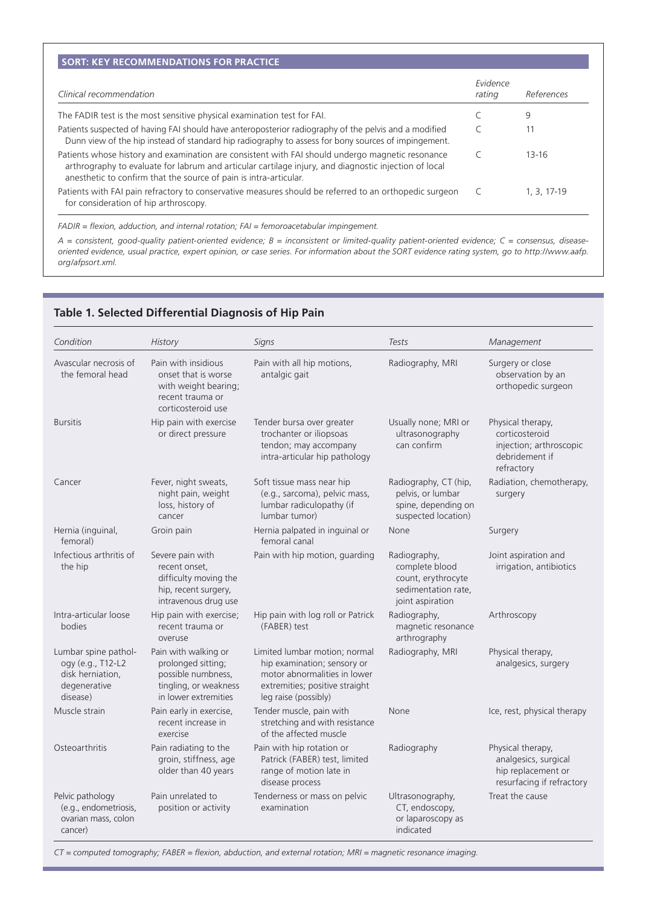| Clinical recommendation                                                                                                                                                                                                                                                        | Evidence<br>rating | References    |
|--------------------------------------------------------------------------------------------------------------------------------------------------------------------------------------------------------------------------------------------------------------------------------|--------------------|---------------|
| The FADIR test is the most sensitive physical examination test for FAI.                                                                                                                                                                                                        |                    | 9             |
| Patients suspected of having FAI should have anteroposterior radiography of the pelvis and a modified<br>Dunn view of the hip instead of standard hip radiography to assess for bony sources of impingement.                                                                   |                    |               |
| Patients whose history and examination are consistent with FAI should undergo magnetic resonance<br>arthrography to evaluate for labrum and articular cartilage injury, and diagnostic injection of local<br>anesthetic to confirm that the source of pain is intra-articular. |                    | 13-16         |
| Patients with FAI pain refractory to conservative measures should be referred to an orthopedic surgeon<br>for consideration of hip arthroscopy.                                                                                                                                |                    | $1, 3, 17-19$ |

*FADIR = flexion, adduction, and internal rotation; FAI = femoroacetabular impingement.*

*A = consistent, good-quality patient-oriented evidence; B = inconsistent or limited-quality patient-oriented evidence; C = consensus, diseaseoriented evidence, usual practice, expert opinion, or case series. For information about the SORT evidence rating system, go to http://www.aafp. org/afpsort.xml.*

| Condition                                                                                 | <b>History</b>                                                                                                    | Signs                                                                                                                                                  | Tests                                                                                           | Management                                                                                     |  |
|-------------------------------------------------------------------------------------------|-------------------------------------------------------------------------------------------------------------------|--------------------------------------------------------------------------------------------------------------------------------------------------------|-------------------------------------------------------------------------------------------------|------------------------------------------------------------------------------------------------|--|
| Avascular necrosis of<br>the femoral head                                                 | Pain with insidious<br>onset that is worse<br>with weight bearing;<br>recent trauma or<br>corticosteroid use      | Pain with all hip motions,<br>antalgic gait                                                                                                            | Radiography, MRI                                                                                | Surgery or close<br>observation by an<br>orthopedic surgeon                                    |  |
| <b>Bursitis</b>                                                                           | Hip pain with exercise<br>or direct pressure                                                                      | Tender bursa over greater<br>trochanter or iliopsoas<br>tendon; may accompany<br>intra-articular hip pathology                                         | Usually none; MRI or<br>ultrasonography<br>can confirm                                          | Physical therapy,<br>corticosteroid<br>injection; arthroscopic<br>debridement if<br>refractory |  |
| Cancer                                                                                    | Fever, night sweats,<br>night pain, weight<br>loss, history of<br>cancer                                          | Soft tissue mass near hip<br>(e.g., sarcoma), pelvic mass,<br>lumbar radiculopathy (if<br>lumbar tumor)                                                | Radiography, CT (hip,<br>pelvis, or lumbar<br>spine, depending on<br>suspected location)        | Radiation, chemotherapy,<br>surgery                                                            |  |
| Hernia (inguinal,<br>femoral)                                                             | Groin pain                                                                                                        | Hernia palpated in inquinal or<br>femoral canal                                                                                                        | None                                                                                            | Surgery                                                                                        |  |
| Infectious arthritis of<br>the hip                                                        | Severe pain with<br>recent onset,<br>difficulty moving the<br>hip, recent surgery,<br>intravenous drug use        | Pain with hip motion, guarding                                                                                                                         | Radiography,<br>complete blood<br>count, erythrocyte<br>sedimentation rate,<br>joint aspiration | Joint aspiration and<br>irrigation, antibiotics                                                |  |
| Intra-articular loose<br>bodies                                                           | Hip pain with exercise;<br>recent trauma or<br>overuse                                                            | Hip pain with log roll or Patrick<br>(FABER) test                                                                                                      | Radiography,<br>magnetic resonance<br>arthrography                                              | Arthroscopy                                                                                    |  |
| Lumbar spine pathol-<br>ogy (e.g., T12-L2<br>disk herniation,<br>degenerative<br>disease) | Pain with walking or<br>prolonged sitting;<br>possible numbness,<br>tingling, or weakness<br>in lower extremities | Limited lumbar motion; normal<br>hip examination; sensory or<br>motor abnormalities in lower<br>extremities; positive straight<br>leg raise (possibly) | Radiography, MRI                                                                                | Physical therapy,<br>analgesics, surgery                                                       |  |
| Muscle strain                                                                             | Pain early in exercise,<br>recent increase in<br>exercise                                                         | Tender muscle, pain with<br>stretching and with resistance<br>of the affected muscle                                                                   | None                                                                                            | Ice, rest, physical therapy                                                                    |  |
| Osteoarthritis                                                                            | Pain radiating to the<br>groin, stiffness, age<br>older than 40 years                                             | Pain with hip rotation or<br>Patrick (FABER) test, limited<br>range of motion late in<br>disease process                                               | Radiography                                                                                     | Physical therapy,<br>analgesics, surgical<br>hip replacement or<br>resurfacing if refractory   |  |
| Pelvic pathology<br>(e.g., endometriosis,<br>ovarian mass, colon<br>cancer)               | Pain unrelated to<br>position or activity                                                                         | Tenderness or mass on pelvic<br>examination                                                                                                            | Ultrasonography,<br>CT, endoscopy,<br>or laparoscopy as<br>indicated                            | Treat the cause                                                                                |  |

# **Table 1. Selected Differential Diagnosis of Hip Pain**

*CT = computed tomography; FABER = flexion, abduction, and external rotation; MRI = magnetic resonance imaging.*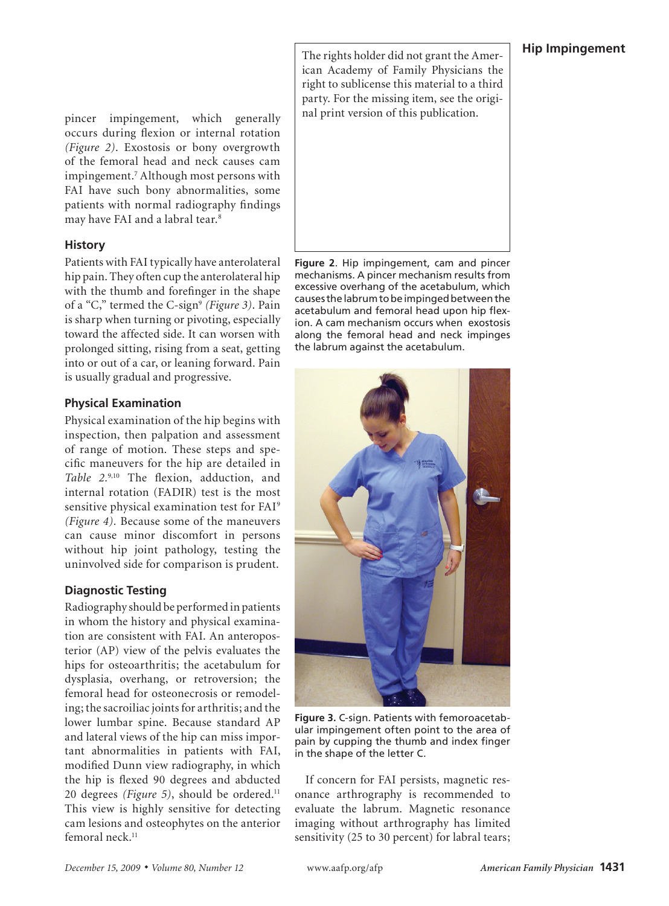## **Hip Impingement**

pincer impingement, which generally occurs during flexion or internal rotation *(Figure 2)*. Exostosis or bony overgrowth of the femoral head and neck causes cam impingement.7 Although most persons with FAI have such bony abnormalities, some patients with normal radiography findings may have FAI and a labral tear.8

## **History**

Patients with FAI typically have anterolateral hip pain. They often cup the anterolateral hip with the thumb and forefinger in the shape of a "C," termed the C-sign<sup>9</sup> (Figure 3). Pain is sharp when turning or pivoting, especially toward the affected side. It can worsen with prolonged sitting, rising from a seat, getting into or out of a car, or leaning forward. Pain is usually gradual and progressive.

## **Physical Examination**

Physical examination of the hip begins with inspection, then palpation and assessment of range of motion. These steps and specific maneuvers for the hip are detailed in *Table 2.*9,10 The flexion, adduction, and internal rotation (FADIR) test is the most sensitive physical examination test for FAI<sup>9</sup> *(Figure 4).* Because some of the maneuvers can cause minor discomfort in persons without hip joint pathology, testing the uninvolved side for comparison is prudent.

## **Diagnostic Testing**

Radiography should be performed in patients in whom the history and physical examination are consistent with FAI. An anteroposterior (AP) view of the pelvis evaluates the hips for osteoarthritis; the acetabulum for dysplasia, overhang, or retroversion; the femoral head for osteonecrosis or remodeling; the sacroiliac joints for arthritis; and the lower lumbar spine. Because standard AP and lateral views of the hip can miss important abnormalities in patients with FAI, modified Dunn view radiography, in which the hip is flexed 90 degrees and abducted 20 degrees *(Figure 5)*, should be ordered.<sup>11</sup> This view is highly sensitive for detecting cam lesions and osteophytes on the anterior femoral neck.<sup>11</sup>

The rights holder did not grant the American Academy of Family Physicians the right to sublicense this material to a third party. For the missing item, see the original print version of this publication.



**Figure 2**. Hip impingement, cam and pincer mechanisms. A pincer mechanism results from excessive overhang of the acetabulum, which causes the labrum to be impinged between the acetabulum and femoral head upon hip flexion. A cam mechanism occurs when exostosis along the femoral head and neck impinges the labrum against the acetabulum.



**Figure 3.** C-sign. Patients with femoroacetabular impingement often point to the area of pain by cupping the thumb and index finger in the shape of the letter C.

If concern for FAI persists, magnetic resonance arthrography is recommended to evaluate the labrum. Magnetic resonance imaging without arthrography has limited sensitivity (25 to 30 percent) for labral tears;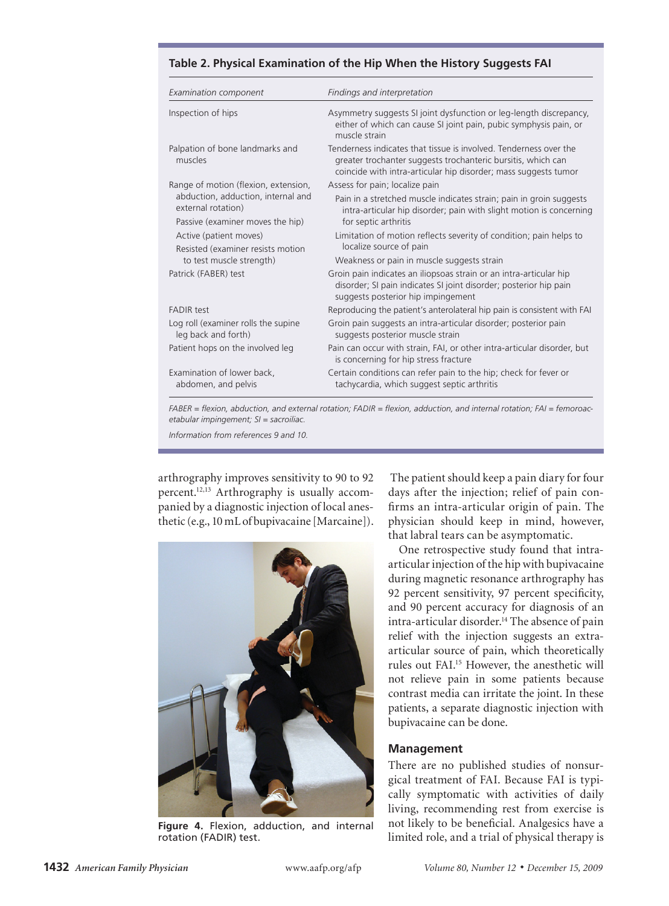| <b>Examination component</b>                                                                 | Findings and interpretation                                                                                                                                                                          |  |  |  |
|----------------------------------------------------------------------------------------------|------------------------------------------------------------------------------------------------------------------------------------------------------------------------------------------------------|--|--|--|
| Inspection of hips                                                                           | Asymmetry suggests SI joint dysfunction or leg-length discrepancy,<br>either of which can cause SI joint pain, pubic symphysis pain, or<br>muscle strain                                             |  |  |  |
| Palpation of bone landmarks and<br>muscles                                                   | Tenderness indicates that tissue is involved. Tenderness over the<br>greater trochanter suggests trochanteric bursitis, which can<br>coincide with intra-articular hip disorder; mass suggests tumor |  |  |  |
| Range of motion (flexion, extension,                                                         | Assess for pain; localize pain                                                                                                                                                                       |  |  |  |
| abduction, adduction, internal and<br>external rotation)<br>Passive (examiner moves the hip) | Pain in a stretched muscle indicates strain; pain in groin suggests<br>intra-articular hip disorder; pain with slight motion is concerning<br>for septic arthritis                                   |  |  |  |
|                                                                                              |                                                                                                                                                                                                      |  |  |  |
| Active (patient moves)<br>Resisted (examiner resists motion                                  | Limitation of motion reflects severity of condition; pain helps to<br>localize source of pain                                                                                                        |  |  |  |
| to test muscle strength)                                                                     | Weakness or pain in muscle suggests strain                                                                                                                                                           |  |  |  |
| Patrick (FABER) test                                                                         | Groin pain indicates an iliopsoas strain or an intra-articular hip<br>disorder; SI pain indicates SI joint disorder; posterior hip pain<br>suggests posterior hip impingement                        |  |  |  |
| <b>FADIR test</b>                                                                            | Reproducing the patient's anterolateral hip pain is consistent with FAI                                                                                                                              |  |  |  |
| Log roll (examiner rolls the supine<br>leg back and forth)                                   | Groin pain suggests an intra-articular disorder; posterior pain<br>suggests posterior muscle strain                                                                                                  |  |  |  |
| Patient hops on the involved leg                                                             | Pain can occur with strain, FAI, or other intra-articular disorder, but<br>is concerning for hip stress fracture                                                                                     |  |  |  |
| Examination of lower back,<br>abdomen, and pelvis                                            | Certain conditions can refer pain to the hip; check for fever or<br>tachycardia, which suggest septic arthritis                                                                                      |  |  |  |

#### **Table 2. Physical Examination of the Hip When the History Suggests FAI**

*FABER = flexion, abduction, and external rotation; FADIR = flexion, adduction, and internal rotation; FAI = femoroacetabular impingement; SI = sacroiliac.*

*Information from references 9 and 10.* 

arthrography improves sensitivity to 90 to 92 percent.12,13 Arthrography is usually accompanied by a diagnostic injection of local anesthetic (e.g., 10 mL of bupivacaine [Marcaine]).



**Figure 4.** Flexion, adduction, and internal rotation (FADIR) test.

 The patient should keep a pain diary for four days after the injection; relief of pain confirms an intra-articular origin of pain. The physician should keep in mind, however, that labral tears can be asymptomatic.

One retrospective study found that intraarticular injection of the hip with bupivacaine during magnetic resonance arthrography has 92 percent sensitivity, 97 percent specificity, and 90 percent accuracy for diagnosis of an intra-articular disorder.<sup>14</sup> The absence of pain relief with the injection suggests an extraarticular source of pain, which theoretically rules out FAI.15 However, the anesthetic will not relieve pain in some patients because contrast media can irritate the joint. In these patients, a separate diagnostic injection with bupivacaine can be done.

#### **Management**

There are no published studies of nonsurgical treatment of FAI. Because FAI is typically symptomatic with activities of daily living, recommending rest from exercise is not likely to be beneficial. Analgesics have a limited role, and a trial of physical therapy is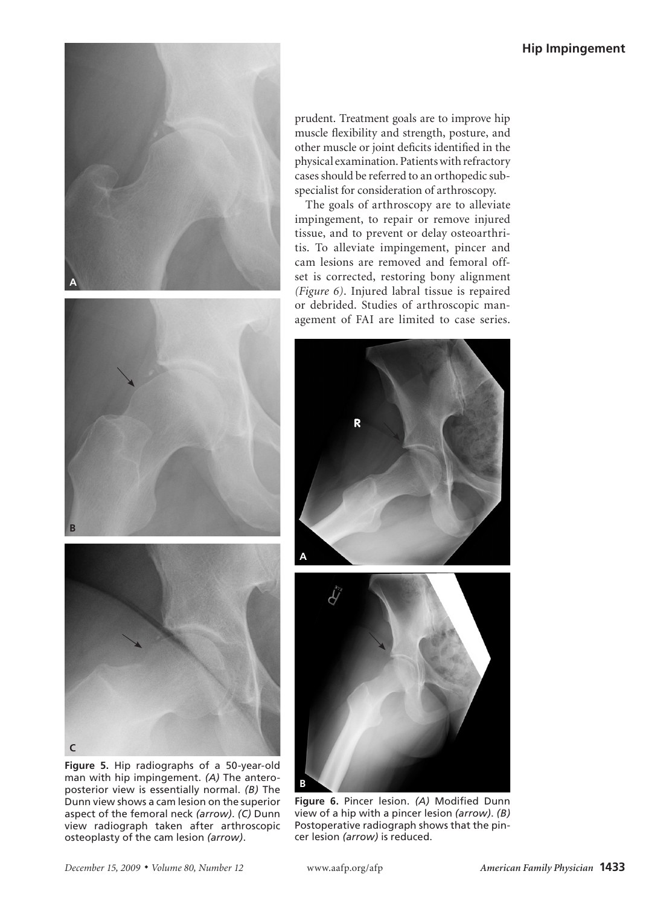





**Figure 5.** Hip radiographs of a 50-year-old man with hip impingement. *(A)* The anteroposterior view is essentially normal. *(B)* The Dunn view shows a cam lesion on the superior aspect of the femoral neck *(arrow)*. *(C)* Dunn view radiograph taken after arthroscopic osteoplasty of the cam lesion *(arrow)*.

prudent. Treatment goals are to improve hip muscle flexibility and strength, posture, and other muscle or joint deficits identified in the physical examination. Patients with refractory cases should be referred to an orthopedic subspecialist for consideration of arthroscopy.

The goals of arthroscopy are to alleviate impingement, to repair or remove injured tissue, and to prevent or delay osteoarthritis. To alleviate impingement, pincer and cam lesions are removed and femoral offset is corrected, restoring bony alignment *(Figure 6)*. Injured labral tissue is repaired or debrided. Studies of arthroscopic management of FAI are limited to case series.





**Figure 6.** Pincer lesion. *(A)* Modified Dunn view of a hip with a pincer lesion *(arrow)*. *(B)*  Postoperative radiograph shows that the pincer lesion *(arrow)* is reduced.